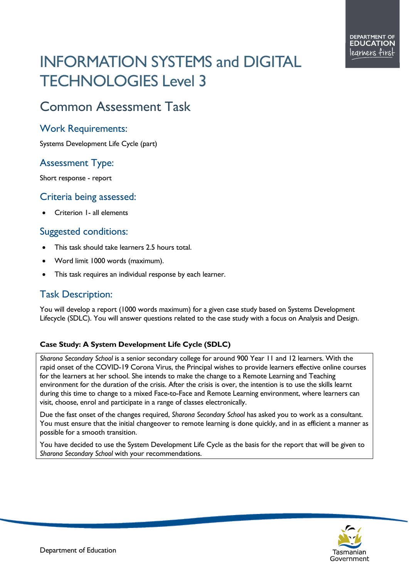# INFORMATION SYSTEMS and DIGITAL TECHNOLOGIES Level 3

## Common Assessment Task

#### Work Requirements:

Systems Development Life Cycle (part)

### Assessment Type:

Short response - report

#### Criteria being assessed:

• Criterion 1- all elements

### Suggested conditions:

- This task should take learners 2.5 hours total.
- Word limit 1000 words (maximum).
- This task requires an individual response by each learner.

### Task Description:

You will develop a report (1000 words maximum) for a given case study based on Systems Development Lifecycle (SDLC). You will answer questions related to the case study with a focus on Analysis and Design.

#### **Case Study: A System Development Life Cycle (SDLC)**

*Sharona Secondary School* is a senior secondary college for around 900 Year 11 and 12 learners. With the rapid onset of the COVID-19 Corona Virus, the Principal wishes to provide learners effective online courses for the learners at her school. She intends to make the change to a Remote Learning and Teaching environment for the duration of the crisis. After the crisis is over, the intention is to use the skills learnt during this time to change to a mixed Face-to-Face and Remote Learning environment, where learners can visit, choose, enrol and participate in a range of classes electronically.

Due the fast onset of the changes required, *Sharona Secondary School* has asked you to work as a consultant. You must ensure that the initial changeover to remote learning is done quickly, and in as efficient a manner as possible for a smooth transition.

You have decided to use the System Development Life Cycle as the basis for the report that will be given to *Sharona Secondary School* with your recommendations.